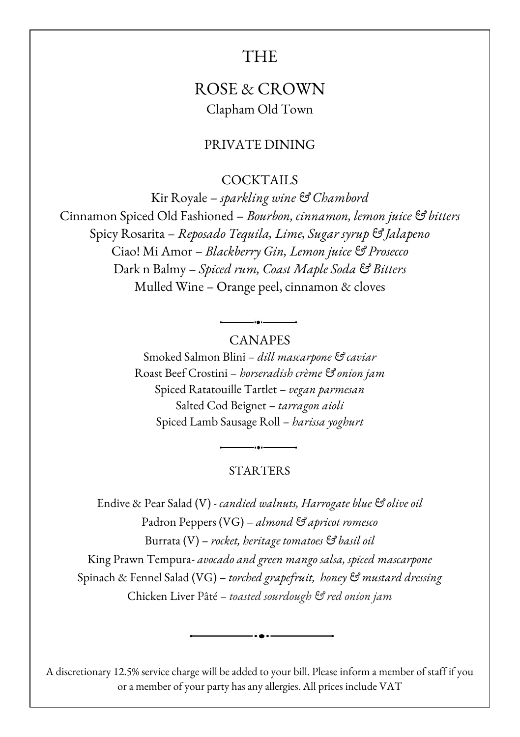# THE

## ROSE & CROWN Clapham Old Town

### PRIVATE DINING

COCKTAILS

Kir Royale – *sparkling wine & Chambord* Cinnamon Spiced Old Fashioned – *Bourbon, cinnamon, lemon juice & bitters* Spicy Rosarita – *Reposado Tequila, Lime, Sugar syrup & Jalapeno* Ciao! Mi Amor – *Blackberry Gin, Lemon juice & Prosecco* Dark n Balmy – *Spiced rum, Coast Maple Soda & Bitters* Mulled Wine – Orange peel, cinnamon & cloves

#### CANAPES

Smoked Salmon Blini – *dill mascarpone & caviar* Roast Beef Crostini – *horseradish crème & onion jam* Spiced Ratatouille Tartlet – *vegan parmesan* Salted Cod Beignet – *tarragon aioli* Spiced Lamb Sausage Roll – *harissa yoghurt*

#### **STARTERS**

Endive & Pear Salad (V) - *candied walnuts, Harrogate blue & olive oil* Padron Peppers (VG) – *almond & apricot romesco* Burrata (V) – *rocket, heritage tomatoes & basil oil* King Prawn Tempura- *avocado and green mango salsa, spiced mascarpone* Spinach & Fennel Salad (VG) – *torched grapefruit, honey & mustard dressing* Chicken Liver Pâté – *toasted sourdough & red onion jam*

A discretionary 12.5% service charge will be added to your bill. Please inform a member of staff if you or a member of your party has any allergies. All prices include VAT